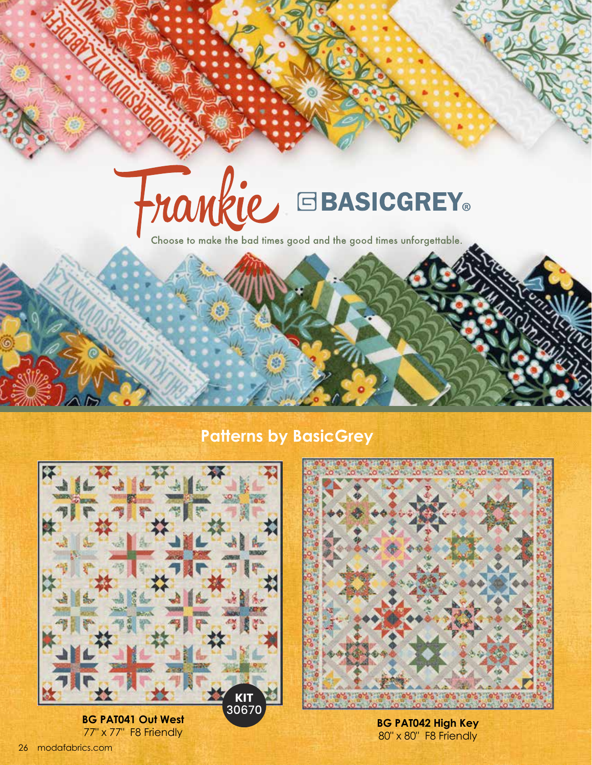## Frankie GBASICGREY.

Choose to make the bad times good and the good times unforgettable.

## **Patterns by BasicGrey**



**BG PAT041 Out West BG PAT041 Out West**<br> **BG PAT042 High Key**<br> **BG PAT042 High Key**<br> **BG PAT042 High Key** 



80" x 80" F8 Friendly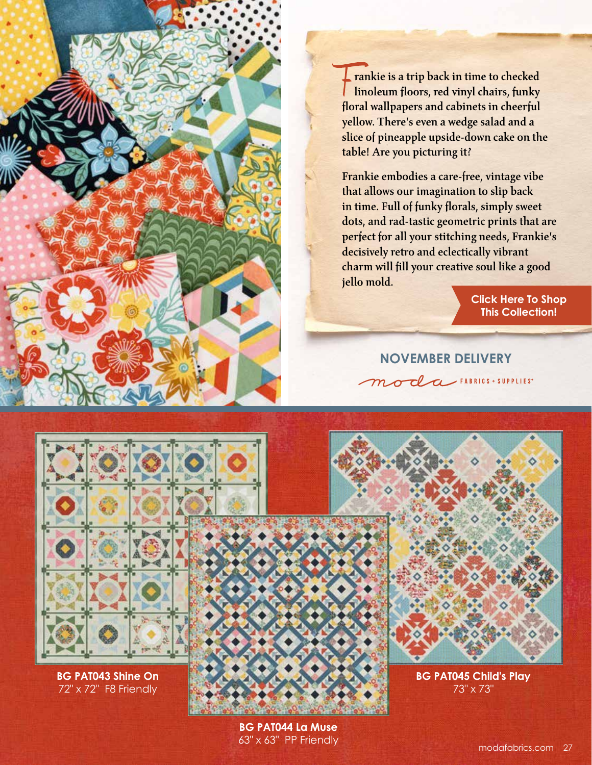rankie is a trip back in time to checked linoleum floors, red vinyl chairs, funky floral wallpapers and cabinets in cheerful yellow. There's even a wedge salad and a slice of pineapple upside-down cake on the table! Are you picturing it?

Frankie embodies a care-free, vintage vibe that allows our imagination to slip back in time. Full of funky florals, simply sweet dots, and rad-tastic geometric prints that are perfect for all your stitching needs, Frankie's decisively retro and eclectically vibrant charm will fill your creative soul like a good jello mold.

> **[Click Here To Shop](https://my.modafabrics.com/shop/s/Basicgrey/Frankie/) This Collection!**

**NOVEMBER DELIVERY** moda FABRICS + SUPPLIES



**BG PAT043 Shine On** 72" x 72" F8 Friendly





**BG PAT045 Child's Play** 73" x 73"

**BG PAT044 La Muse** 63" x 63" PP Friendly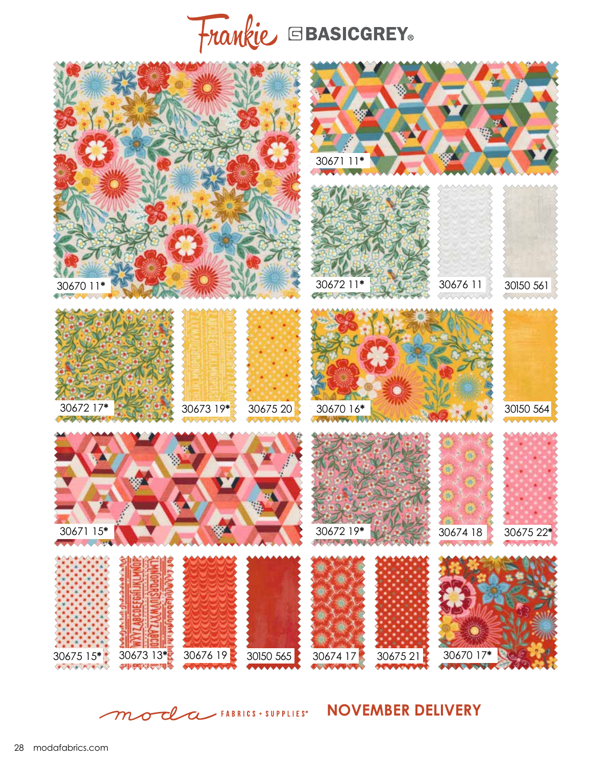## Frankie EBASICGREY.



**NOVEMBER DELIVERY**  ${\boldsymbol{\mathcal{m}}}$